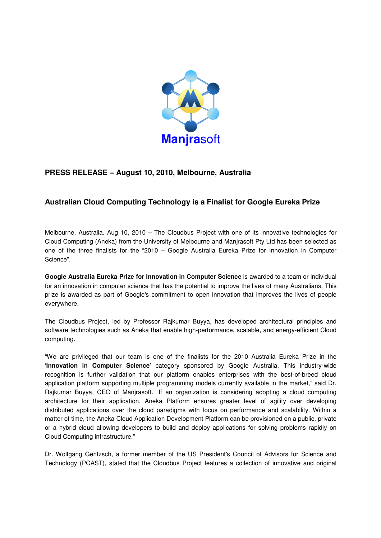

## **PRESS RELEASE – August 10, 2010, Melbourne, Australia**

## **Australian Cloud Computing Technology is a Finalist for Google Eureka Prize**

Melbourne, Australia. Aug 10, 2010 – The Cloudbus Project with one of its innovative technologies for Cloud Computing (Aneka) from the University of Melbourne and Manjrasoft Pty Ltd has been selected as one of the three finalists for the "2010 – Google Australia Eureka Prize for Innovation in Computer Science".

**Google Australia Eureka Prize for Innovation in Computer Science** is awarded to a team or individual for an innovation in computer science that has the potential to improve the lives of many Australians. This prize is awarded as part of Google's commitment to open innovation that improves the lives of people everywhere.

The Cloudbus Project, led by Professor Rajkumar Buyya, has developed architectural principles and software technologies such as Aneka that enable high-performance, scalable, and energy-efficient Cloud computing.

"We are privileged that our team is one of the finalists for the 2010 Australia Eureka Prize in the '**Innovation in Computer Science**' category sponsored by Google Australia. This industry-wide recognition is further validation that our platform enables enterprises with the best-of-breed cloud application platform supporting multiple programming models currently available in the market," said Dr. Rajkumar Buyya, CEO of Manjrasoft. "If an organization is considering adopting a cloud computing architecture for their application, Aneka Platform ensures greater level of agility over developing distributed applications over the cloud paradigms with focus on performance and scalability. Within a matter of time, the Aneka Cloud Application Development Platform can be provisioned on a public, private or a hybrid cloud allowing developers to build and deploy applications for solving problems rapidly on Cloud Computing infrastructure."

Dr. Wolfgang Gentzsch, a former member of the US President's Council of Advisors for Science and Technology (PCAST), stated that the Cloudbus Project features a collection of innovative and original